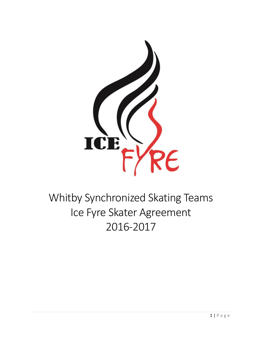

# Whitby Synchronized Skating Teams Ice Fyre Skater Agreement 2016-2017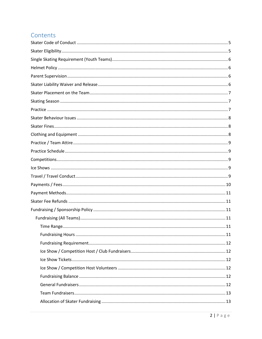### Contents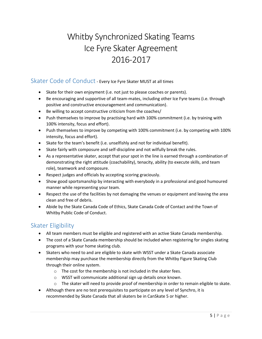## Whitby Synchronized Skating Teams Ice Fyre Skater Agreement 2016-2017

### <span id="page-4-0"></span>Skater Code of Conduct - Every Ice Fyre Skater MUST at all times

- Skate for their own enjoyment (i.e. not just to please coaches or parents).
- Be encouraging and supportive of all team-mates, including other Ice Fyre teams (i.e. through positive and constructive encouragement and communication).
- Be willing to accept constructive criticism from the coaches/
- Push themselves to improve by practising hard with 100% commitment (i.e. by training with 100% intensity, focus and effort).
- Push themselves to improve by competing with 100% commitment (i.e. by competing with 100% intensity, focus and effort).
- Skate for the team's benefit (i.e. unselfishly and not for individual benefit).
- Skate fairly with composure and self-discipline and not wilfully break the rules.
- As a representative skater, accept that your spot in the line is earned through a combination of demonstrating the right attitude (coachability), tenacity, ability (to execute skills, and team role), teamwork and composure.
- Respect judges and officials by accepting scoring graciously.
- Show good sportsmanship by interacting with everybody in a professional and good humoured manner while representing your team.
- Respect the use of the facilities by not damaging the venues or equipment and leaving the area clean and free of debris.
- Abide by the Skate Canada Code of Ethics, Skate Canada Code of Contact and the Town of Whitby Public Code of Conduct.

### <span id="page-4-1"></span>Skater Eligibility

- All team members must be eligible and registered with an active Skate Canada membership.
- The cost of a Skate Canada membership should be included when registering for singles skating programs with your home skating club.
- Skaters who need to and are eligible to skate with WSST under a Skate Canada associate membership may purchase the membership directly from the Whitby Figure Skating Club through their online system.
	- o The cost for the membership is not included in the skater fees.
	- o WSST will communicate additional sign up details once known.
	- $\circ$  The skater will need to provide proof of membership in order to remain eligible to skate.
- Although there are no test prerequisites to participate on any level of Synchro, it is recommended by Skate Canada that all skaters be in CanSkate 5 or higher.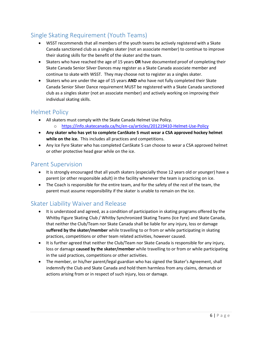### <span id="page-5-0"></span>Single Skating Requirement (Youth Teams)

- WSST recommends that all members of the youth teams be actively registered with a Skate Canada sanctioned club as a singles skater (not an associate member) to continue to improve their skating skills for the benefit of the skater and the team.
- Skaters who have reached the age of 15 years **OR** have documented proof of completing their Skate Canada Senior Silver Dances may register as a Skate Canada associate member and continue to skate with WSST. They may choose not to register as a singles skater.
- Skaters who are under the age of 15 years **AND** who have not fully completed their Skate Canada Senior Silver Dance requirement MUST be registered with a Skate Canada sanctioned club as a singles skater (not an associate member) and actively working on improving their individual skating skills.

### <span id="page-5-1"></span>Helmet Policy

- All skaters must comply with the Skate Canada Helmet Use Policy. o <https://info.skatecanada.ca/hc/en-ca/articles/201219410-Helmet-Use-Policy>
- **Any skater who has yet to complete CanSkate 5 must wear a CSA approved hockey helmet while on the ice.** This includes all practices and competitions.
- Any Ice Fyre Skater who has completed CanSkate 5 can choose to wear a CSA approved helmet or other protective head gear while on the ice.

### <span id="page-5-2"></span>Parent Supervision

- It is strongly encouraged that all youth skaters (especially those 12 years old or younger) have a parent (or other responsible adult) in the facility whenever the team is practicing on ice.
- The Coach is responsible for the entire team, and for the safety of the rest of the team, the parent must assume responsibility if the skater is unable to remain on the ice.

### <span id="page-5-3"></span>Skater Liability Waiver and Release

- It is understood and agreed, as a condition of participation in skating programs offered by the Whitby Figure Skating Club / Whitby Synchronized Skating Teams (Ice Fyre) and Skate Canada, that neither the Club/Team nor Skate Canada shall be liable for any injury, loss or damage **suffered by the skater/member** while travelling to or from or while participating in skating practices, competitions or other team related activities, however caused.
- It is further agreed that neither the Club/Team nor Skate Canada is responsible for any injury, loss or damage **caused by the skater/member** while travelling to or from or while participating in the said practices, competitions or other activities.
- The member, or his/her parent/legal guardian who has signed the Skater's Agreement, shall indemnify the Club and Skate Canada and hold them harmless from any claims, demands or actions arising from or in respect of such injury, loss or damage.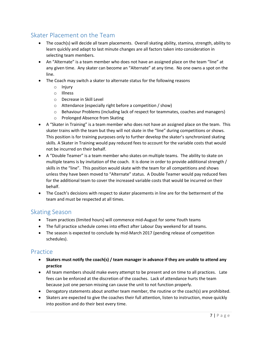### <span id="page-6-0"></span>Skater Placement on the Team

- The coach(s) will decide all team placements. Overall skating ability, stamina, strength, ability to learn quickly and adapt to last minute changes are all factors taken into consideration in selecting team members.
- An "Alternate" is a team member who does not have an assigned place on the team "line" at any given time. Any skater can become an "Alternate" at any time. No one owns a spot on the line.
- The Coach may switch a skater to alternate status for the following reasons
	- o Injury
	- o Illness
	- o Decrease in Skill Level
	- o Attendance (especially right before a competition / show)
	- o Behaviour Problems (including lack of respect for teammates, coaches and managers)
	- o Prolonged Absence from Skating
- A "Skater in Training" is a team member who does not have an assigned place on the team. This skater trains with the team but they will not skate in the "line" during competitions or shows. This position is for training purposes only to further develop the skater's synchronized skating skills. A Skater in Training would pay reduced fees to account for the variable costs that would not be incurred on their behalf.
- A "Double Teamer" is a team member who skates on multiple teams. The ability to skate on multiple teams is by invitation of the coach. It is done in order to provide additional strength / skills in the "line". This position would skate with the team for all competitions and shows unless they have been moved to "Alternate" status. A Double Teamer would pay reduced fees for the additional team to cover the increased variable costs that would be incurred on their behalf.
- The Coach's decisions with respect to skater placements in line are for the betterment of the team and must be respected at all times.

#### <span id="page-6-1"></span>Skating Season

- Team practices (limited hours) will commence mid-August for some Youth teams
- The full practice schedule comes into effect after Labour Day weekend for all teams.
- The season is expected to conclude by mid-March 2017 (pending release of competition schedules).

#### <span id="page-6-2"></span>Practice

- **Skaters must notify the coach(s) / team manager in advance if they are unable to attend any practice**
- All team members should make every attempt to be present and on time to all practices. Late fees can be enforced at the discretion of the coaches. Lack of attendance hurts the team because just one person missing can cause the unit to not function properly.
- Derogatory statements about another team member, the routine or the coach(s) are prohibited.
- Skaters are expected to give the coaches their full attention, listen to instruction, move quickly into position and do their best every time.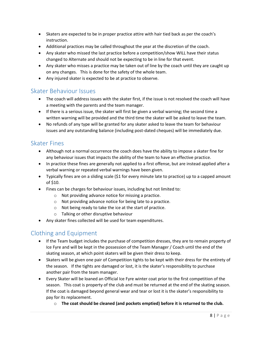- Skaters are expected to be in proper practice attire with hair tied back as per the coach's instruction.
- Additional practices may be called throughout the year at the discretion of the coach.
- Any skater who missed the last practice before a competition/show WILL have their status changed to Alternate and should not be expecting to be in line for that event.
- Any skater who misses a practice may be taken out of line by the coach until they are caught up on any changes. This is done for the safety of the whole team.
- Any injured skater is expected to be at practice to observe.

### <span id="page-7-0"></span>Skater Behaviour Issues

- The coach will address issues with the skater first, if the issue is not resolved the coach will have a meeting with the parents and the team manager.
- If there is a serious issue, the skater will first be given a verbal warning; the second time a written warning will be provided and the third time the skater will be asked to leave the team.
- No refunds of any type will be granted for any skater asked to leave the team for behaviour issues and any outstanding balance (including post-dated cheques) will be immediately due.

### <span id="page-7-1"></span>Skater Fines

- Although not a normal occurrence the coach does have the ability to impose a skater fine for any behaviour issues that impacts the ability of the team to have an effective practice.
- In practice these fines are generally not applied to a first offense, but are instead applied after a verbal warning or repeated verbal warnings have been given.
- Typically fines are on a sliding scale (\$1 for every minute late to practice) up to a capped amount of \$10.
- Fines can be charges for behaviour issues, including but not limited to:
	- o Not providing advance notice for missing a practice.
	- o Not providing advance notice for being late to a practice.
	- o Not being ready to take the ice at the start of practice.
	- o Talking or other disruptive behaviour
- Any skater fines collected will be used for team expenditures.

### <span id="page-7-2"></span>Clothing and Equipment

- If the Team budget includes the purchase of competition dresses, they are to remain property of Ice Fyre and will be kept in the possession of the Team Manager / Coach until the end of the skating season, at which point skaters will be given their dress to keep.
- Skaters will be given one pair of Competition tights to be kept with their dress for the entirety of the season. If the tights are damaged or lost, it is the skater's responsibility to purchase another pair from the team manager.
- Every Skater will be loaned an Official Ice Fyre winter coat prior to the first competition of the season. This coat is property of the club and must be returned at the end of the skating season. If the coat is damaged beyond general wear and tear or lost it is the skater's responsibility to pay for its replacement.
	- o **The coat should be cleaned (and pockets emptied) before it is returned to the club.**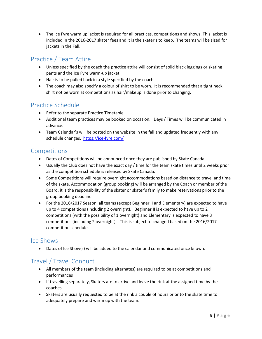The Ice Fyre warm up jacket is required for all practices, competitions and shows. This jacket is included in the 2016-2017 skater fees and it is the skater's to keep. The teams will be sized for jackets in the Fall.

### <span id="page-8-0"></span>Practice / Team Attire

- Unless specified by the coach the practice attire will consist of solid black leggings or skating pants and the Ice Fyre warm-up jacket.
- Hair is to be pulled back in a style specified by the coach
- The coach may also specify a colour of shirt to be worn. It is recommended that a tight neck shirt not be worn at competitions as hair/makeup is done prior to changing.

### <span id="page-8-1"></span>Practice Schedule

- Refer to the separate Practice Timetable
- Additional team practices may be booked on occasion. Days / Times will be communicated in advance.
- Team Calendar's will be posted on the website in the fall and updated frequently with any schedule changes.<https://ice-fyre.com/>

### <span id="page-8-2"></span>Competitions

- Dates of Competitions will be announced once they are published by Skate Canada.
- Usually the Club does not have the exact day / time for the team skate times until 2 weeks prior as the competition schedule is released by Skate Canada.
- Some Competitions will require overnight accommodations based on distance to travel and time of the skate. Accommodation (group booking) will be arranged by the Coach or member of the Board, it is the responsibility of the skater or skater's family to make reservations prior to the group booking deadline.
- For the 2016/2017 Season, all teams (except Beginner II and Elementary) are expected to have up to 4 competitions (including 2 overnight). Beginner II is expected to have up to 2 competitions (with the possibility of 1 overnight) and Elementary is expected to have 3 competitions (including 2 overnight). This is subject to changed based on the 2016/2017 competition schedule.

### <span id="page-8-3"></span>Ice Shows

Dates of Ice Show(s) will be added to the calendar and communicated once known.

### <span id="page-8-4"></span>Travel / Travel Conduct

- All members of the team (including alternates) are required to be at competitions and performances
- If travelling separately, Skaters are to arrive and leave the rink at the assigned time by the coaches.
- Skaters are usually requested to be at the rink a couple of hours prior to the skate time to adequately prepare and warm up with the team.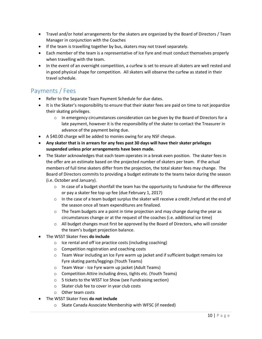- Travel and/or hotel arrangements for the skaters are organized by the Board of Directors / Team Manager in conjunction with the Coaches
- If the team is travelling together by bus, skaters may not travel separately.
- Each member of the team is a representative of Ice Fyre and must conduct themselves properly when travelling with the team.
- In the event of an overnight competition, a curfew is set to ensure all skaters are well rested and in good physical shape for competition. All skaters will observe the curfew as stated in their travel schedule.

### <span id="page-9-0"></span>Payments / Fees

- Refer to the Separate Team Payment Schedule for due dates.
- It is the Skater's responsibility to ensure that their skater fees are paid on time to not jeopardize their skating privileges.
	- $\circ$  In emergency circumstances consideration can be given by the Board of Directors for a late payment, however it is the responsibility of the skater to contact the Treasurer in advance of the payment being due.
- A \$40.00 charge will be added to monies owing for any NSF cheque.
- **Any skater that is in arrears for any fees past 30 days will have their skater privileges suspended unless prior arrangements have been made.**
- The Skater acknowledges that each team operates in a break even position. The skater fees in the offer are an estimate based on the projected number of skaters per team. If the actual members of full time skaters differ from the projection, the total skater fees may change. The Board of Directors commits to providing a budget estimate to the teams twice during the season (i.e. October and January).
	- $\circ$  In case of a budget shortfall the team has the opportunity to fundraise for the difference or pay a skater fee top up fee (due February 1, 2017)
	- $\circ$  In the case of a team budget surplus the skater will receive a credit /refund at the end of the season once all team expenditures are finalized.
	- $\circ$  The Team budgets are a point in time projection and may change during the year as circumstances change or at the request of the coaches (i.e. additional ice time)
	- $\circ$  All budget changes must first be approved by the Board of Directors, who will consider the team's budget projection balance.
- The WSST Skater Fees **do include**
	- o Ice rental and off ice practice costs (including coaching)
	- o Competition registration and coaching costs
	- o Team Wear including an Ice Fyre warm up jacket and if sufficient budget remains Ice Fyre skating pants/leggings (Youth Teams)
	- o Team Wear Ice Fyre warm up jacket (Adult Teams)
	- o Competition Attire including dress, tights etc. (Youth Teams)
	- o 5 tickets to the WSST Ice Show (see Fundraising section)
	- o Skater club fee to cover in year club costs
	- o Other team costs
- The WSST Skater Fees **do not include**
	- o Skate Canada Associate Membership with WFSC (if needed)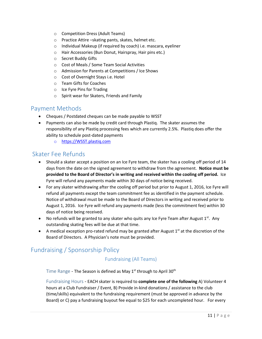- o Competition Dress (Adult Teams)
- o Practice Attire –skating pants, skates, helmet etc.
- o Individual Makeup (if required by coach) i.e. mascara, eyeliner
- o Hair Accessories (Bun Donut, Hairspray, Hair pins etc.)
- o Secret Buddy Gifts
- o Cost of Meals / Some Team Social Activities
- o Admission for Parents at Competitions / Ice Shows
- o Cost of Overnight Stays i.e. Hotel
- o Team Gifts for Coaches
- o Ice Fyre Pins for Trading
- o Spirit wear for Skaters, Friends and Family

### <span id="page-10-0"></span>Payment Methods

- Cheques / Postdated cheques can be made payable to WSST
- Payments can also be made by credit card through Plastiq. The skater assumes the responsibility of any Plastiq processing fees which are currently 2.5%. Plastiq does offer the ability to schedule post-dated payments
	- o [https://WSST.plastiq.com](https://wsst.plastiq.com/)

### <span id="page-10-1"></span>Skater Fee Refunds

- Should a skater accept a position on an Ice Fyre team, the skater has a cooling off period of 14 days from the date on the signed agreement to withdraw from the agreement. **Notice must be provided to the Board of Director's in writing and received within the cooling off period.** Ice Fyre will refund any payments made within 30 days of notice being received.
- For any skater withdrawing after the cooling off period but prior to August 1, 2016, Ice Fyre will refund all payments except the team commitment fee as identified in the payment schedule. Notice of withdrawal must be made to the Board of Directors in writing and received prior to August 1, 2016. Ice Fyre will refund any payments made (less the commitment fee) within 30 days of notice being received.
- No refunds will be granted to any skater who quits any Ice Fyre Team after August  $1^{st}$ . Any outstanding skating fees will be due at that time.
- A medical exception pro-rated refund may be granted after August  $1<sup>st</sup>$  at the discretion of the Board of Directors. A Physician's note must be provided.

### <span id="page-10-4"></span><span id="page-10-3"></span><span id="page-10-2"></span>Fundraising / Sponsorship Policy

#### Fundraising (All Teams)

Time Range - The Season is defined as May  $1<sup>st</sup>$  through to April 30<sup>th</sup>

<span id="page-10-5"></span>Fundraising Hours - EACH skater is required to **complete one of the following** A) Volunteer 4 hours at a Club Fundraiser / Event, B) Provide in-kind donations / assistance to the club (time/skills) equivalent to the fundraising requirement (must be approved in advance by the Board) or C) pay a fundraising buyout fee equal to \$25 for each uncompleted hour. For every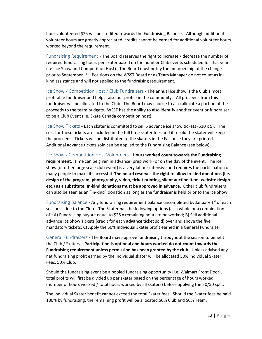hour volunteered \$25 will be credited towards the Fundraising Balance. Although additional volunteer hours are greatly appreciated, credits cannot be earned for additional volunteer hours worked beyond the requirement.

<span id="page-11-0"></span>Fundraising Requirement - The Board reserves the right to increase / decrease the number of required fundraising hours per skater based on the number Club events scheduled for that year (i.e. Ice Show and Competition Host). The Board must notify the membership of the change prior to September 1<sup>st</sup>. Positions on the WSST Board or as Team Manager do not count as inkind assistance and will not applied to the fundraising requirement.

<span id="page-11-1"></span>Ice Show / Competition Host / Club Fundraisers - The annual ice show is the Club's most profitable fundraiser and helps raise our profile in the community. All proceeds from this fundraiser will be allocated to the Club. The Board may choose to also allocate a portion of the proceeds to the team budgets. WSST has the ability to also identify another event or fundraiser to be a Club Event (i.e. Skate Canada competition host).

<span id="page-11-2"></span>Ice Show Tickets - Each skater is committed to sell 5 advance ice show tickets (\$10 x 5). The cost for these tickets are included in the full time skater fees and if resold the skater will keep the proceeds. Tickets will be distributed to the skaters in the Fall once they are printed. Additional advance tickets sold can be applied to the Fundraising Balance (see below).

<span id="page-11-3"></span>Ice Show / Competition Host Volunteers - **Hours worked count towards the Fundraising requirement.** Time can be given in advance (prep work) or on the day of the event. The ice show (or other large scale club event) is a very labour intensive and requires the participation of many people to make it successful. **The board reserves the right to allow in-kind donations (i.e. design of the program, photography, video, ticket printing, silent auction item, website design etc.) as a substitute. In-kind donations must be approved in advance.** Other club fundraisers can also be seen as an "in-kind" donation as long as the fundraiser is held prior to the Ice Show.

<span id="page-11-4"></span>Fundraising Balance - Any fundraising requirement balance uncompleted by January 1<sup>st</sup> of each season is due to the Club. The Skater has the following options (as a whole or a combination of); A) Fundraising buyout equal to \$25 x remaining hours to be worked; B) Sell additional advance Ice Show Tickets (credit for each **advance** ticket sold) over and above the five mandatory tickets; C) Apply the 50% individual Skater profit earned in a General Fundraiser.

<span id="page-11-5"></span>General Fundraisers - The Board may approve fundraising throughout the season to benefit the Club / Skaters. **Participation is optional and hours worked do not count towards the Fundraising requirement unless permission has been granted by the club.** Unless advised any net fundraising profit earned by the individual skater will be allocated 50% Individual Skater Fees, 50% Club.

Should the fundraising event be a pooled fundraising opportunity (i.e. Walmart Front Door), total profits will first be divided up per skater based on the percentage of hours worked (number of hours worked / total hours worked by all skaters) before applying the 50/50 split.

The individual Skater benefit cannot exceed the total Skater fees. Should the Skater fees be paid 100% by fundraising, the remaining profit will be allocated 50% Club and 50% Team.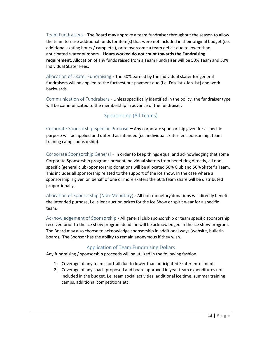<span id="page-12-0"></span>Team Fundraisers - The Board may approve a team fundraiser throughout the season to allow the team to raise additional funds for item(s) that were not included in their original budget (i.e. additional skating hours / camp etc.), or to overcome a team deficit due to lower than anticipated skater numbers. **Hours worked do not count towards the Fundraising requirement.** Allocation of any funds raised from a Team Fundraiser will be 50% Team and 50% Individual Skater Fees.

<span id="page-12-1"></span>Allocation of Skater Fundraising - The 50% earned by the individual skater for general fundraisers will be applied to the furthest out payment due (i.e. Feb 1st / Jan 1st) and work backwards.

<span id="page-12-2"></span>Communication of Fundraisers - Unless specifically identified in the policy, the fundraiser type will be communicated to the membership in advance of the fundraiser.

#### Sponsorship (All Teams)

<span id="page-12-4"></span><span id="page-12-3"></span>Corporate Sponsorship Specific Purpose – Any corporate sponsorship given for a specific purpose will be applied and utilized as intended (i.e. individual skater fee sponsorship, team training camp sponsorship).

<span id="page-12-5"></span>Corporate Sponsorship General - In order to keep things equal and acknowledging that some Corporate Sponsorship programs prevent individual skaters from benefiting directly, all nonspecific (general club) Sponsorship donations will be allocated 50% Club and 50% Skater's Team. This includes all sponsorship related to the support of the ice show. In the case where a sponsorship is given on behalf of one or more skaters the 50% team share will be distributed proportionally.

<span id="page-12-6"></span>Allocation of Sponsorship (Non-Monetary) - All non-monetary donations will directly benefit the intended purpose, i.e. silent auction prizes for the Ice Show or spirit wear for a specific team.

<span id="page-12-7"></span>Acknowledgement of Sponsorship - All general club sponsorship or team specific sponsorship received prior to the ice show program deadline will be acknowledged in the ice show program. The Board may also choose to acknowledge sponsorship in additional ways (website, bulletin board). The Sponsor has the ability to remain anonymous if they wish.

#### Application of Team Fundraising Dollars

<span id="page-12-8"></span>Any fundraising / sponsorship proceeds will be utilized in the following fashion

- 1) Coverage of any team shortfall due to lower than anticipated Skater enrollment
- 2) Coverage of any coach proposed and board approved in year team expenditures not included in the budget, i.e. team social activities, additional ice time, summer training camps, additional competitions etc.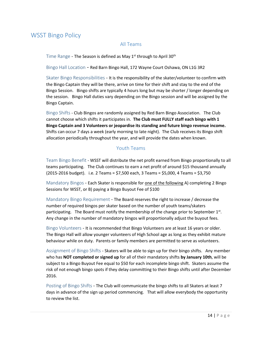### <span id="page-13-2"></span><span id="page-13-1"></span><span id="page-13-0"></span>WSST Bingo Policy

#### All Teams

Time Range - The Season is defined as May 1st through to April 30th

<span id="page-13-3"></span>Bingo Hall Location - Red Barn Bingo Hall, 172 Wayne Court Oshawa, ON L1G 3R2

<span id="page-13-4"></span>Skater Bingo Responsibilities - It is the responsibility of the skater/volunteer to confirm with the Bingo Captain they will be there, arrive on time for their shift and stay to the end of the Bingo Session. Bingo shifts are typically 4 hours long but may be shorter / longer depending on the session. Bingo Hall duties vary depending on the Bingo session and will be assigned by the Bingo Captain.

<span id="page-13-5"></span>Bingo Shifts - Club Bingos are randomly assigned by Red Barn Bingo Association. The Club cannot choose which shifts it participates in. **The Club must FULLY staff each bingo with 1 Bingo Captain and 3 Volunteers or jeopardise its standing and future bingo revenue income.** Shifts can occur 7 days a week (early morning to late night). The Club receives its Bingo shift allocation periodically throughout the year, and will provide the dates when known.

#### Youth Teams

<span id="page-13-7"></span><span id="page-13-6"></span>Team Bingo Benefit - WSST will distribute the net profit earned from Bingo proportionally to all teams participating. The Club continues to earn a net profit of around \$15 thousand annually (2015-2016 budget). i.e. 2 Teams = \$7,500 each, 3 Teams = \$5,000, 4 Teams = \$3,750

<span id="page-13-8"></span>Mandatory Bingos - Each Skater is responsible for one of the following A) completing 2 Bingo Sessions for WSST, or B) paying a Bingo Buyout Fee of \$100

<span id="page-13-9"></span>Mandatory Bingo Requirement - The Board reserves the right to increase / decrease the number of required bingos per skater based on the number of youth teams/skaters participating. The Board must notify the membership of the change prior to September 1st. Any change in the number of mandatory bingos will proportionally adjust the buyout fees.

<span id="page-13-10"></span>Bingo Volunteers - It is recommended that Bingo Volunteers are at least 16 years or older. The Bingo Hall will allow younger volunteers of High School age as long as they exhibit mature behaviour while on duty. Parents or family members are permitted to serve as volunteers.

<span id="page-13-11"></span>Assignment of Bingo Shifts - Skaters will be able to sign up for their bingo shifts. Any member who has **NOT completed or signed up** for all of their mandatory shifts **by January 10th**, will be subject to a Bingo Buyout Fee equal to \$50 for each incomplete bingo shift. Skaters assume the risk of not enough bingo spots if they delay committing to their Bingo shifts until after December 2016.

<span id="page-13-12"></span>Posting of Bingo Shifts - The Club will communicate the bingo shifts to all Skaters at least 7 days in advance of the sign up period commencing. That will allow everybody the opportunity to review the list.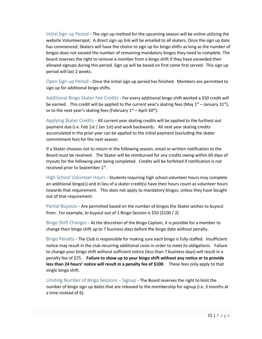<span id="page-14-0"></span>Initial Sign-up Period - The sign up method for the upcoming season will be online utilizing the website Volunteerspot. A direct sign up link will be emailed to all skaters. Once the sign up date has commenced, Skaters will have the choice to sign up for bingo shifts as long as the number of bingos does not exceed the number of remaining mandatory bingos they need to complete. The board reserves the right to remove a member from a bingo shift if they have exceeded their allowed signups during this period. Sign up will be based on first come first served. This sign up period will last 2 weeks.

<span id="page-14-1"></span>Open Sign-up Period - Once the initial sign up period has finished. Members are permitted to sign up for additional bingo shifts.

<span id="page-14-2"></span>Additional Bingo Skater Fee Credits - For every additional bingo shift worked a \$50 credit will be earned. This credit will be applied to the current year's skating fees (May  $1<sup>st</sup>$  – January 31<sup>st</sup>), or to the next year's skating fees (February  $1<sup>st</sup>$  – April 30<sup>th</sup>).

<span id="page-14-3"></span>Applying Skater Credits - All current year skating credits will be applied to the furthest out payment due (i.e. Feb 1st / Jan 1st) and work backwards. All next year skating credits accumulated in the prior year can be applied to the initial payment (excluding the skater commitment fee) for the next season.

If a Skater chooses not to return in the following season, email or written notification to the Board must be received. The Skater will be reimbursed for any credits owing within 60 days of tryouts for the following year being completed. Credits will be forfeited if notification is not received prior to September 1st.

<span id="page-14-4"></span>High School Volunteer Hours - Students requiring high school volunteer hours may complete an additional bingo(s) and in lieu of a skater credit(s) have their hours count as volunteer hours towards that requirement. This does not apply to mandatory bingos, unless they have bought out of that requirement.

<span id="page-14-5"></span>Partial Buyouts - Are permitted based on the number of bingos the Skater wishes to buyout from. For example, to buyout out of 1 Bingo Session is \$50 (\$100 / 2)

<span id="page-14-6"></span>Bingo Shift Changes - At the discretion of the Bingo Captain, it is possible for a member to change their bingo shift up to 7 business days before the bingo date without penalty.

<span id="page-14-7"></span>Bingo Penalty - The Club is responsible for making sure each bingo is fully staffed. Insufficient notice may result in the club incurring additional costs in order to meet its obligations. Failure to change your bingo shift without sufficient notice (less than 7 business days) will result in a penalty fee of \$75. **Failure to show up to your bingo shift without any notice or to provide less than 24 hours' notice will result in a penalty fee of \$100**. These fees only apply to that single bingo shift.

<span id="page-14-8"></span>Limiting Number of Bingo Sessions – Signup - The Board reserves the right to limit the number of bingo sign up dates that are released to the membership for signup (i.e. 3 months at a time instead of 6).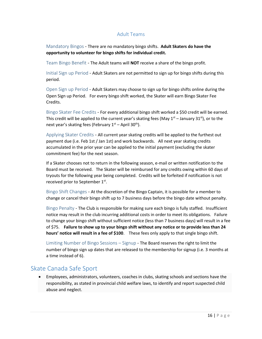#### Adult Teams

<span id="page-15-1"></span><span id="page-15-0"></span>Mandatory Bingos - There are no mandatory bingo shifts. **Adult Skaters do have the opportunity to volunteer for bingo shifts for individual credit.**

<span id="page-15-2"></span>Team Bingo Benefit - The Adult teams will **NOT** receive a share of the bingo profit.

<span id="page-15-3"></span>Initial Sign up Period - Adult Skaters are not permitted to sign up for bingo shifts during this period.

<span id="page-15-4"></span>Open Sign up Period - Adult Skaters may choose to sign up for bingo shifts online during the Open Sign up Period. For every bingo shift worked, the Skater will earn Bingo Skater Fee Credits.

<span id="page-15-5"></span>Bingo Skater Fee Credits - For every additional bingo shift worked a \$50 credit will be earned. This credit will be applied to the current year's skating fees (May  $1^{st}$  – January 31st), or to the next year's skating fees (February  $1<sup>st</sup>$  – April 30<sup>th</sup>).

<span id="page-15-6"></span>Applying Skater Credits - All current year skating credits will be applied to the furthest out payment due (i.e. Feb 1st / Jan 1st) and work backwards. All next year skating credits accumulated in the prior year can be applied to the initial payment (excluding the skater commitment fee) for the next season.

If a Skater chooses not to return in the following season, e-mail or written notification to the Board must be received. The Skater will be reimbursed for any credits owing within 60 days of tryouts for the following year being completed. Credits will be forfeited if notification is not received prior to September 1st.

<span id="page-15-7"></span>Bingo Shift Changes - At the discretion of the Bingo Captain, it is possible for a member to change or cancel their bingo shift up to 7 business days before the bingo date without penalty.

<span id="page-15-8"></span>Bingo Penalty - The Club is responsible for making sure each bingo is fully staffed. Insufficient notice may result in the club incurring additional costs in order to meet its obligations. Failure to change your bingo shift without sufficient notice (less than 7 business days) will result in a fee of \$75. **Failure to show up to your bingo shift without any notice or to provide less than 24 hours' notice will result in a fee of \$100**. These fees only apply to that single bingo shift.

<span id="page-15-9"></span>Limiting Number of Bingo Sessions – Signup - The Board reserves the right to limit the number of bingo sign up dates that are released to the membership for signup (i.e. 3 months at a time instead of 6).

### <span id="page-15-10"></span>Skate Canada Safe Sport

 Employees, administrators, volunteers, coaches in clubs, skating schools and sections have the responsibility, as stated in provincial child welfare laws, to identify and report suspected child abuse and neglect.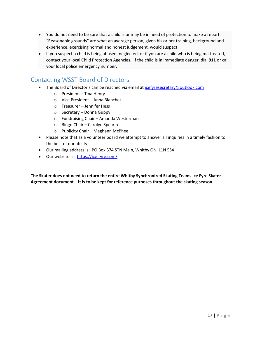- You do not need to be sure that a child is or may be in need of protection to make a report. "Reasonable grounds" are what an average person, given his or her training, background and experience, exercising normal and honest judgement, would suspect.
- If you suspect a child is being abused, neglected, or if you are a child who is being maltreated, contact your local Child Protection Agencies. If the child is in immediate danger, dial **911** or call your local police emergency number.

### <span id="page-16-0"></span>Contacting WSST Board of Directors

- The Board of Director's can be reached via email a[t icefyresecretary@outlook.com](mailto:icefyresecretary@outlook.com)
	- o President Tina Henry
	- o Vice President Anna Blanchet
	- o Treasurer Jennifer Hess
	- o Secretary Donna Guppy
	- o Fundraising Chair Amanda Westerman
	- o Bingo Chair Carolyn Spearin
	- o Publicity Chair Meghann McPhee.
- Please note that as a volunteer board we attempt to answer all inquiries in a timely fashion to the best of our ability.
- Our mailing address is: PO Box 374 STN Main, Whitby ON, L1N 5S4
- Our website is:<https://ice-fyre.com/>

**The Skater does not need to return the entire Whitby Synchronized Skating Teams Ice Fyre Skater Agreement document. It is to be kept for reference purposes throughout the skating season.**